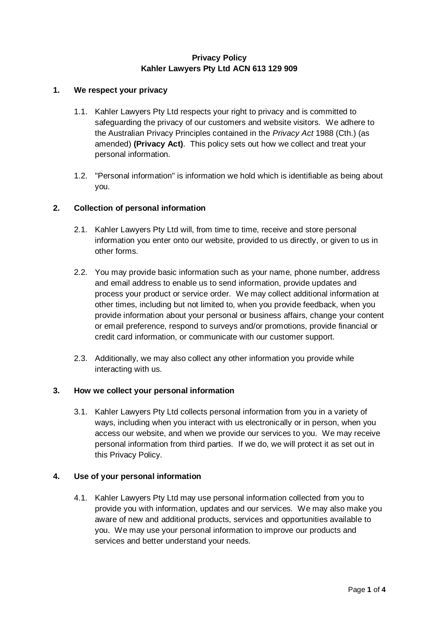# **Privacy Policy Kahler Lawyers Pty Ltd ACN 613 129 909**

### **1. We respect your privacy**

- 1.1. Kahler Lawyers Pty Ltd respects your right to privacy and is committed to safeguarding the privacy of our customers and website visitors. We adhere to the Australian Privacy Principles contained in the *Privacy Act* 1988 (Cth.) (as amended) **(Privacy Act)**. This policy sets out how we collect and treat your personal information.
- 1.2. "Personal information" is information we hold which is identifiable as being about you.

# **2. Collection of personal information**

- 2.1. Kahler Lawyers Pty Ltd will, from time to time, receive and store personal information you enter onto our website, provided to us directly, or given to us in other forms.
- 2.2. You may provide basic information such as your name, phone number, address and email address to enable us to send information, provide updates and process your product or service order. We may collect additional information at other times, including but not limited to, when you provide feedback, when you provide information about your personal or business affairs, change your content or email preference, respond to surveys and/or promotions, provide financial or credit card information, or communicate with our customer support.
- 2.3. Additionally, we may also collect any other information you provide while interacting with us.

### **3. How we collect your personal information**

3.1. Kahler Lawyers Pty Ltd collects personal information from you in a variety of ways, including when you interact with us electronically or in person, when you access our website, and when we provide our services to you. We may receive personal information from third parties. If we do, we will protect it as set out in this Privacy Policy.

### **4. Use of your personal information**

4.1. Kahler Lawyers Pty Ltd may use personal information collected from you to provide you with information, updates and our services. We may also make you aware of new and additional products, services and opportunities available to you. We may use your personal information to improve our products and services and better understand your needs.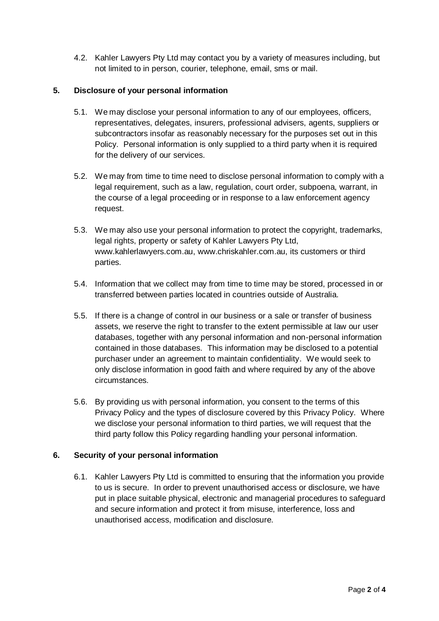4.2. Kahler Lawyers Pty Ltd may contact you by a variety of measures including, but not limited to in person, courier, telephone, email, sms or mail.

# **5. Disclosure of your personal information**

- 5.1. We may disclose your personal information to any of our employees, officers, representatives, delegates, insurers, professional advisers, agents, suppliers or subcontractors insofar as reasonably necessary for the purposes set out in this Policy. Personal information is only supplied to a third party when it is required for the delivery of our services.
- 5.2. We may from time to time need to disclose personal information to comply with a legal requirement, such as a law, regulation, court order, subpoena, warrant, in the course of a legal proceeding or in response to a law enforcement agency request.
- 5.3. We may also use your personal information to protect the copyright, trademarks, legal rights, property or safety of Kahler Lawyers Pty Ltd, www.kahlerlawyers.com.au, www.chriskahler.com.au, its customers or third parties.
- 5.4. Information that we collect may from time to time may be stored, processed in or transferred between parties located in countries outside of Australia.
- 5.5. If there is a change of control in our business or a sale or transfer of business assets, we reserve the right to transfer to the extent permissible at law our user databases, together with any personal information and non-personal information contained in those databases. This information may be disclosed to a potential purchaser under an agreement to maintain confidentiality. We would seek to only disclose information in good faith and where required by any of the above circumstances.
- 5.6. By providing us with personal information, you consent to the terms of this Privacy Policy and the types of disclosure covered by this Privacy Policy. Where we disclose your personal information to third parties, we will request that the third party follow this Policy regarding handling your personal information.

### **6. Security of your personal information**

6.1. Kahler Lawyers Pty Ltd is committed to ensuring that the information you provide to us is secure. In order to prevent unauthorised access or disclosure, we have put in place suitable physical, electronic and managerial procedures to safeguard and secure information and protect it from misuse, interference, loss and unauthorised access, modification and disclosure.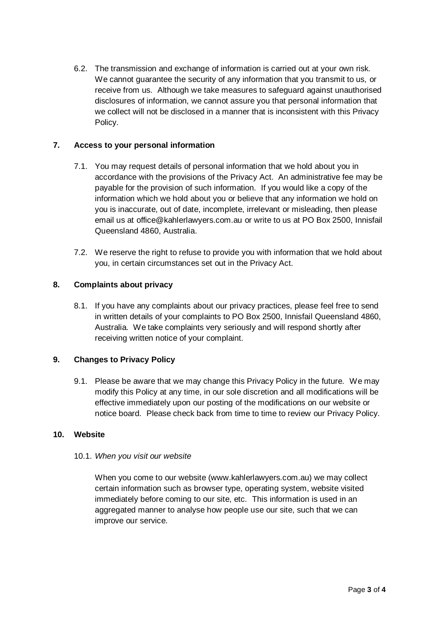6.2. The transmission and exchange of information is carried out at your own risk. We cannot guarantee the security of any information that you transmit to us, or receive from us. Although we take measures to safeguard against unauthorised disclosures of information, we cannot assure you that personal information that we collect will not be disclosed in a manner that is inconsistent with this Privacy Policy.

# **7. Access to your personal information**

- 7.1. You may request details of personal information that we hold about you in accordance with the provisions of the Privacy Act. An administrative fee may be payable for the provision of such information. If you would like a copy of the information which we hold about you or believe that any information we hold on you is inaccurate, out of date, incomplete, irrelevant or misleading, then please email us at office@kahlerlawyers.com.au or write to us at PO Box 2500, Innisfail Queensland 4860, Australia.
- 7.2. We reserve the right to refuse to provide you with information that we hold about you, in certain circumstances set out in the Privacy Act.

### **8. Complaints about privacy**

8.1. If you have any complaints about our privacy practices, please feel free to send in written details of your complaints to PO Box 2500, Innisfail Queensland 4860, Australia. We take complaints very seriously and will respond shortly after receiving written notice of your complaint.

### **9. Changes to Privacy Policy**

9.1. Please be aware that we may change this Privacy Policy in the future. We may modify this Policy at any time, in our sole discretion and all modifications will be effective immediately upon our posting of the modifications on our website or notice board. Please check back from time to time to review our Privacy Policy.

### **10. Website**

### 10.1. *When you visit our website*

When you come to our website (www.kahlerlawyers.com.au) we may collect certain information such as browser type, operating system, website visited immediately before coming to our site, etc. This information is used in an aggregated manner to analyse how people use our site, such that we can improve our service.